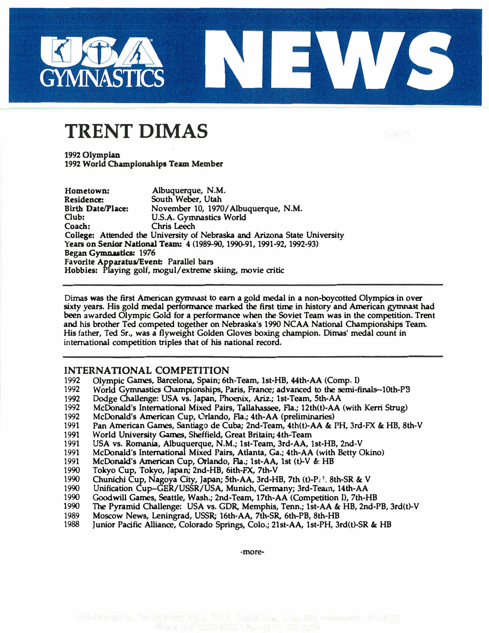

## **TRENT DIMAS**

**1992 Olympian**  1992 World Championships Team Member

| Hometown:                                                                 | Albuquerque, N.M.                   |
|---------------------------------------------------------------------------|-------------------------------------|
| <b>Residence:</b>                                                         | South Weber, Utah                   |
| <b>Birth Date/Place:</b>                                                  | November 10, 1970/Albuquerque, N.M. |
| Club:                                                                     | <b>U.S.A. Gymnastics World</b>      |
| Coach:                                                                    | <b>Chris Leech</b>                  |
| College: Attended the University of Nebraska and Arizona State University |                                     |
| Years on Senior National Team: 4 (1989-90, 1990-91, 1991-92, 1992-93)     |                                     |
| Began Gymnastics: 1976                                                    |                                     |
| Favorite Apparatus/Event: Parallel bars                                   |                                     |
| Hobbies: Playing golf, mogul/extreme skiing, movie critic                 |                                     |

**Dimas was the first American gymnast to earn a gold medal in a non-boycotted Olympics in over sixty years. His gold medal performance marked the first time in history and American gymnast had been awarded Olympic Gold for a performance when the Soviet Team was in the competition. Trent and his brother Ted competed together on Nebraska's 1990 NCAA National Championships Team. His father, Ted Sr., was a flyweight Golden Gloves boxing champion. Dimas' medal count in international competition triples that of his national record.** 

## **INTERNATIONAL COMPETITION**

- **1992 Olympic Garnes, Barcelona, Spain; 6th-Team, lst-HB, 44th-AA (Comp. I)**
- **1992 World Gymnastics Championships, Paris, France; advanced to the semi-finals-10th-PB**
- **1992 Dodge Challenge: USA vs. Japan, Phoenix, Ariz.; 1st-Team, 5th-AA**
- **1992 McDonald's International Mixed Pairs, Tallahassee, Fla.; 12th(t)-AA (with Kerri Strug)**
- **1992 McDonald's American Cup, Orlando, Fla.; 4th-AA (preliminaries)**
- 1991 Pan American Games, Santiago de Cuba; 2nd-Team, 4th(t)-AA & PH, 3rd-FX & HB, 8th-V<br>1991 World University Games, Sheffield, Great Britain; 4th-Team
- **1991 World University Games, Sheffield, Great Britain; 4th-Team**
- **1991 USA vs. Romania, Albuquerque, N.M.; 1st-Team, 3rd-AA, lst-HB, 2nd-V**
- **1991 McDonald's International Mixed Pairs, Atlanta, Ga.; 4th-AA (with Betty Okino)**
- **1991 McDonald's American Cup, Orlando, Fla.; 1st-AA, 1st (t)-V &. HB**
- **1990 Tokyo Cup, Tokyo, Japan; 2nd-HB, 6ith-FX, 7th-V**
- **1990 Chunichi Cup, Nagoya City, Japan; 5th-AA, 3rd-HB, 7th (t)-P.M. 8th-SR & V 1990** Unification Cup-GER/USSR/USA, Munich, Germany: 3rd-Team, 14th-AA
- **1990 Unification Cup-GER/USSR/USA, Munich, Gennany; 3rd-Team, 14th-AA**
- **1990 Goodwill Games, Seattle, Wash.; 2nd-Team, 17th-AA (Competition I), 7th-HB**
- **1990 The Pyramid Challenge: USA vs. GDR, Memphis, Tenn.; 1st-AA & HB, 2nd-PB, 3rd(t)-V**
- **1989 Moscow News, Leningrad, USSR; 16th-AA, 7th-SR. 6th-PB, 8th-HB**
- Junior Pacific Alliance, Colorado Springs, Colo.; 21st-AA, 1st-PH, 3rd(t)-SR & HB

**-more-**